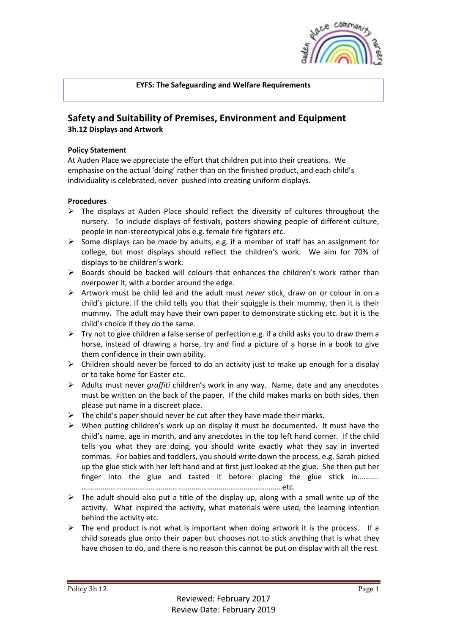

## **EYFS: The Safeguarding and Welfare Requirements**

## **Safety and Suitability of Premises, Environment and Equipment 3h.12 Displays and Artwork**

## **Policy Statement**

At Auden Place we appreciate the effort that children put into their creations. We emphasise on the actual 'doing' rather than on the finished product, and each child's individuality is celebrated, never pushed into creating uniform displays.

## **Procedures**

- $\triangleright$  The displays at Auden Place should reflect the diversity of cultures throughout the nursery. To include displays of festivals, posters showing people of different culture, people in non-stereotypical jobs e.g. female fire fighters etc.
- $\triangleright$  Some displays can be made by adults, e.g. if a member of staff has an assignment for college, but most displays should reflect the children's work. We aim for 70% of displays to be children's work.
- $\triangleright$  Boards should be backed will colours that enhances the children's work rather than overpower it, with a border around the edge.
- ➢ Artwork must be child led and the adult must *never* stick, draw on or colour in on a child's picture. If the child tells you that their squiggle is their mummy, then it is their mummy. The adult may have their own paper to demonstrate sticking etc. but it is the child's choice if they do the same.
- $\triangleright$  Try not to give children a false sense of perfection e.g. if a child asks you to draw them a horse, instead of drawing a horse, try and find a picture of a horse in a book to give them confidence in their own ability.
- $\triangleright$  Children should never be forced to do an activity just to make up enough for a display or to take home for Easter etc.
- ➢ Adults must never *graffiti* children's work in any way. Name, date and any anecdotes must be written on the back of the paper. If the child makes marks on both sides, then please put name in a discreet place.
- $\triangleright$  The child's paper should never be cut after they have made their marks.
- ➢ When putting children's work up on display it must be documented. It must have the child's name, age in month, and any anecdotes in the top left hand corner. If the child tells you what they are doing, you should write exactly what they say in inverted commas. For babies and toddlers, you should write down the process, e.g. Sarah picked up the glue stick with her left hand and at first just looked at the glue. She then put her finger into the glue and tasted it before placing the glue stick in……….. ………………………………..…………………………………………………………etc.
- $\triangleright$  The adult should also put a title of the display up, along with a small write up of the activity. What inspired the activity, what materials were used, the learning intention behind the activity etc.
- $\triangleright$  The end product is not what is important when doing artwork it is the process. If a child spreads glue onto their paper but chooses not to stick anything that is what they have chosen to do, and there is no reason this cannot be put on display with all the rest.